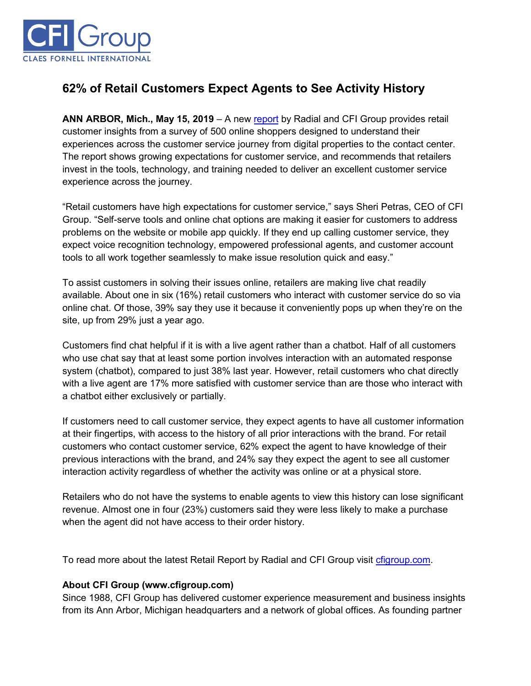

## **62% of Retail Customers Expect Agents to See Activity History**

**ANN ARBOR, Mich., May 15, 2019** – A new [report](https://cfigroup.com/resource-item/retail-report-may-2019?utm_campaign=may2019&utm_source=release&utm_content=top) by Radial and CFI Group provides retail customer insights from a survey of 500 online shoppers designed to understand their experiences across the customer service journey from digital properties to the contact center. The report shows growing expectations for customer service, and recommends that retailers invest in the tools, technology, and training needed to deliver an excellent customer service experience across the journey.

"Retail customers have high expectations for customer service," says Sheri Petras, CEO of CFI Group. "Self-serve tools and online chat options are making it easier for customers to address problems on the website or mobile app quickly. If they end up calling customer service, they expect voice recognition technology, empowered professional agents, and customer account tools to all work together seamlessly to make issue resolution quick and easy."

To assist customers in solving their issues online, retailers are making live chat readily available. About one in six (16%) retail customers who interact with customer service do so via online chat. Of those, 39% say they use it because it conveniently pops up when they're on the site, up from 29% just a year ago.

Customers find chat helpful if it is with a live agent rather than a chatbot. Half of all customers who use chat say that at least some portion involves interaction with an automated response system (chatbot), compared to just 38% last year. However, retail customers who chat directly with a live agent are 17% more satisfied with customer service than are those who interact with a chatbot either exclusively or partially.

If customers need to call customer service, they expect agents to have all customer information at their fingertips, with access to the history of all prior interactions with the brand. For retail customers who contact customer service, 62% expect the agent to have knowledge of their previous interactions with the brand, and 24% say they expect the agent to see all customer interaction activity regardless of whether the activity was online or at a physical store.

Retailers who do not have the systems to enable agents to view this history can lose significant revenue. Almost one in four (23%) customers said they were less likely to make a purchase when the agent did not have access to their order history.

To read more about the latest Retail Report by Radial and CFI Group visit [cfigroup.com.](https://cfigroup.com/resource-item/retail-report-may-2019?utm_campaign=may2019&utm_source=release&utm_content=bottom)

## **About CFI Group (www.cfigroup.com)**

Since 1988, CFI Group has delivered customer experience measurement and business insights from its Ann Arbor, Michigan headquarters and a network of global offices. As founding partner